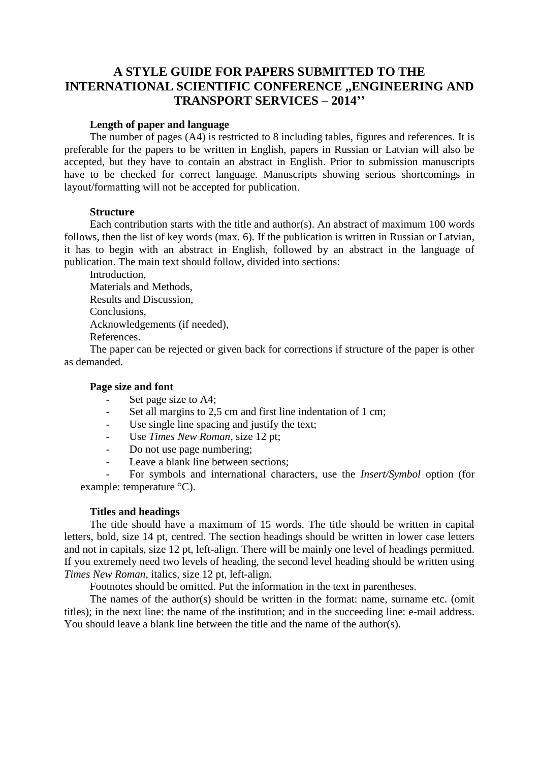# **A STYLE GUIDE FOR PAPERS SUBMITTED TO THE INTERNATIONAL SCIENTIFIC CONFERENCE ,,ENGINEERING AND TRANSPORT SERVICES – 2014''**

#### **Length of paper and language**

The number of pages (A4) is restricted to 8 including tables, figures and references. It is preferable for the papers to be written in English, papers in Russian or Latvian will also be accepted, but they have to contain an abstract in English. Prior to submission manuscripts have to be checked for correct language. Manuscripts showing serious shortcomings in layout/formatting will not be accepted for publication.

#### **Structure**

Each contribution starts with the title and author(s). An abstract of maximum 100 words follows, then the list of key words (max. 6). If the publication is written in Russian or Latvian, it has to begin with an abstract in English, followed by an abstract in the language of publication. The main text should follow, divided into sections:

Introduction, Materials and Methods, Results and Discussion, Conclusions, Acknowledgements (if needed), References.

The paper can be rejected or given back for corrections if structure of the paper is other as demanded.

#### **Page size and font**

- Set page size to A4;
- Set all margins to 2,5 cm and first line indentation of 1 cm;
- Use single line spacing and justify the text;
- Use *Times New Roman*, size 12 pt;
- Do not use page numbering;
- Leave a blank line between sections:

- For symbols and international characters, use the *Insert/Symbol* option (for example: temperature °C).

## **Titles and headings**

The title should have a maximum of 15 words. The title should be written in capital letters, bold, size 14 pt, centred. The section headings should be written in lower case letters and not in capitals, size 12 pt, left-align. There will be mainly one level of headings permitted. If you extremely need two levels of heading, the second level heading should be written using *Times New Roman*, italics, size 12 pt, left-align.

Footnotes should be omitted. Put the information in the text in parentheses.

The names of the author(s) should be written in the format: name, surname etc. (omit titles); in the next line: the name of the institution; and in the succeeding line: e-mail address. You should leave a blank line between the title and the name of the author(s).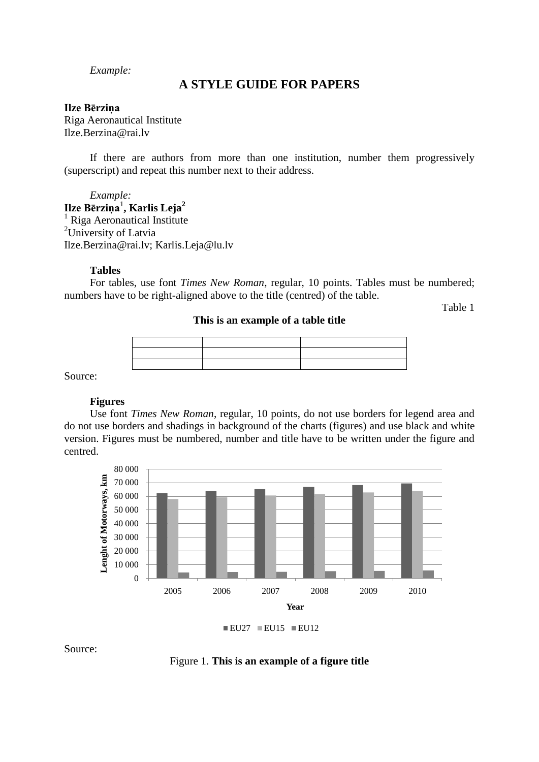*Example:*

## **A STYLE GUIDE FOR PAPERS**

#### **Ilze Bērziņa**

Riga Aeronautical Institute Ilze.Berzina@rai.lv

If there are authors from more than one institution, number them progressively (superscript) and repeat this number next to their address.

*Example:*

**Ilze Bērziņa**<sup>1</sup> **, Karlis Leja<sup>2</sup>**  $<sup>1</sup>$  Riga Aeronautical Institute</sup> <sup>2</sup>University of Latvia Ilze.Berzina@rai.lv; [Karlis.Leja@lu.lv](mailto:Karlis.Leja@lu.lv)

#### **Tables**

For tables, use font *Times New Roman*, regular, 10 points. Tables must be numbered; numbers have to be right-aligned above to the title (centred) of the table.

Table 1

## **This is an example of a table title**

Source:

#### **Figures**

Use font *Times New Roman*, regular, 10 points, do not use borders for legend area and do not use borders and shadings in background of the charts (figures) and use black and white version. Figures must be numbered, number and title have to be written under the figure and centred.





Source: